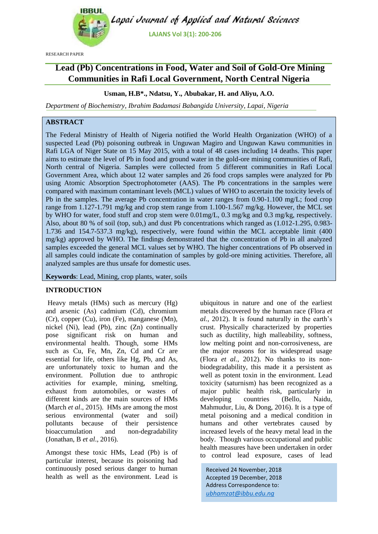

RESEARCH PAPER

# **Lead (Pb) Concentrations in Food, Water and Soil of Gold-Ore Mining Communities in Rafi Local Government, North Central Nigeria**

## **Usman, H.B\*., Ndatsu, Y., Abubakar, H. and Aliyu, A.O.**

*Department of Biochemistry, Ibrahim Badamasi Babangida University, Lapai, Nigeria*

## **ABSTRACT**

The Federal Ministry of Health of Nigeria notified the World Health Organization (WHO) of a suspected Lead (Pb) poisoning outbreak in Unguwan Magiro and Unguwan Kawu communities in Rafi LGA of Niger State on 15 May 2015, with a total of 48 cases including 14 deaths. This paper aims to estimate the level of Pb in food and ground water in the gold-ore mining communities of Rafi, North central of Nigeria. Samples were collected from 5 different communities in Rafi Local Government Area, which about 12 water samples and 26 food crops samples were analyzed for Pb using Atomic Absorption Spectrophotometer (AAS). The Pb concentrations in the samples were compared with maximum contaminant levels (MCL) values of WHO to ascertain the toxicity levels of Pb in the samples. The average Pb concentration in water ranges from 0.90-1.100 mg/L; food crop range from 1.127-1.791 mg/kg and crop stem range from 1.100-1.567 mg/kg. However, the MCL set by WHO for water, food stuff and crop stem were 0.01mg/L, 0.3 mg/kg and 0.3 mg/kg, respectively. Also, about 80 % of soil (top, sub,) and dust Pb concentrations which ranged as (1.012-1.295, 0.983- 1.736 and 154.7-537.3 mg/kg), respectively, were found within the MCL acceptable limit (400 mg/kg) approved by WHO. The findings demonstrated that the concentration of Pb in all analyzed samples exceeded the general MCL values set by WHO. The higher concentrations of Pb observed in all samples could indicate the contamination of samples by gold-ore mining activities. Therefore, all analyzed samples are thus unsafe for domestic uses.

**Keywords**: Lead, Mining, crop plants, water, soils

#### **INTRODUCTION**

Heavy metals (HMs) such as mercury (Hg) and arsenic (As) cadmium (Cd), chromium (Cr), copper (Cu), iron (Fe), manganese (Mn), nickel (Ni), lead (Pb), zinc (Zn) continually pose significant risk on human and environmental health. Though, some HMs such as Cu, Fe, Mn, Zn, Cd and Cr are essential for life, others like Hg, Pb, and As, are unfortunately toxic to human and the environment. Pollution due to anthropic activities for example, mining, smelting, exhaust from automobiles, or wastes of different kinds are the main sources of HMs (March *et al*., 2015). HMs are among the most serious environmental (water and soil) pollutants because of their persistence bioaccumulation and non-degradability (Jonathan, B *et al*., 2016).

Amongst these toxic HMs, Lead (Pb) is of particular interest, because its poisoning had continuously posed serious danger to human health as well as the environment. Lead is ubiquitous in nature and one of the earliest metals discovered by the human race (Flora *et al.*, 2012). It is found naturally in the earth's crust. Physically characterized by properties such as ductility, high malleability, softness, low melting point and non-corrosiveness, are the major reasons for its widespread usage (Flora *et al.*, 2012). No thanks to its nonbiodegradability, this made it a persistent as well as potent toxin in the environment. Lead toxicity (saturnism) has been recognized as a major public health risk, particularly in developing countries (Bello, Naidu, Mahmudur, Liu, & Dong, 2016). It is a type of metal poisoning and a medical condition in humans and other vertebrates caused by increased levels of the heavy metal lead in the body. Though various occupational and public health measures have been undertaken in order to control lead exposure, cases of lead

Received 24 November, 2018 Accepted 19 December, 2018 Address Correspondence to: *ubhamzat@ibbu.edu.ng*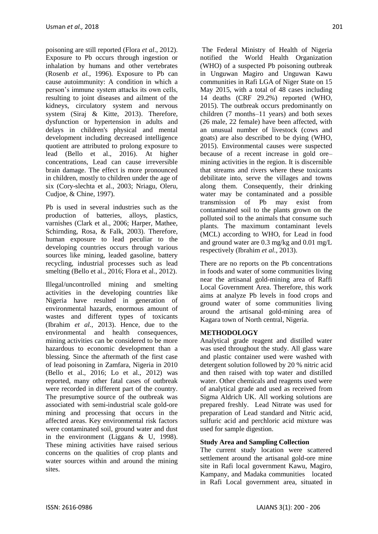poisoning are still reported (Flora *et al*., 2012). Exposure to Pb occurs through ingestion or inhalation by humans and other vertebrates (Rosenb *et al.*, 1996). Exposure to Pb can cause autoimmunity: A condition in which a person's immune system attacks its own cells, resulting to joint diseases and ailment of the kidneys, circulatory system and nervous system (Siraj & Kitte, 2013). Therefore, dysfunction or hypertension in adults and delays in children's physical and mental development including decreased intelligence quotient are attributed to prolong exposure to lead (Bello et al., 2016). At higher concentrations, Lead can cause irreversible brain damage. The effect is more pronounced in children, mostly to children under the age of six (Cory-slechta et al., 2003; Nriagu, Oleru, Cudjoe, & Chine, 1997).

Pb is used in several industries such as the production of batteries, alloys, plastics, varnishes (Clark et al., 2006; Harper, Mathee, Schirnding, Rosa, & Falk, 2003). Therefore, human exposure to lead peculiar to the developing countries occurs through various sources like mining, leaded gasoline, battery recycling, industrial processes such as lead smelting (Bello et al., 2016; Flora et al., 2012).

Illegal/uncontrolled mining and smelting activities in the developing countries like Nigeria have resulted in generation of environmental hazards, enormous amount of wastes and different types of toxicants (Ibrahim *et al.,* 2013). Hence, due to the environmental and health consequences, mining activities can be considered to be more hazardous to economic development than a blessing. Since the aftermath of the first case of lead poisoning in Zamfara, Nigeria in 2010 (Bello et al., 2016; Lo et al., 2012) was reported, many other fatal cases of outbreak were recorded in different part of the country. The presumptive source of the outbreak was associated with semi-industrial scale gold-ore mining and processing that occurs in the affected areas. Key environmental risk factors were contaminated soil, ground water and dust in the environment (Liggans & U, 1998). These mining activities have raised serious concerns on the qualities of crop plants and water sources within and around the mining sites.

The Federal Ministry of Health of Nigeria notified the World Health Organization (WHO) of a suspected Pb poisoning outbreak in Unguwan Magiro and Unguwan Kawu communities in Rafi LGA of Niger State on 15 May 2015, with a total of 48 cases including 14 deaths (CRF 29.2%) reported (WHO, 2015). The outbreak occurs predominantly on children (7 months–11 years) and both sexes (26 male, 22 female) have been affected, with an unusual number of livestock (cows and goats) are also described to be dying (WHO, 2015). Environmental causes were suspected because of a recent increase in gold ore– mining activities in the region. It is discernible that streams and rivers where these toxicants debilitate into, serve the villages and towns along them. Consequently, their drinking water may be contaminated and a possible transmission of Pb may exist from contaminated soil to the plants grown on the polluted soil to the animals that consume such plants. The maximum contaminant levels (MCL) according to WHO, for Lead in food and ground water are 0.3 mg/kg and 0.01 mg/L respectively (Ibrahim *et al.,* 2013).

There are no reports on the Pb concentrations in foods and water of some communities living near the artisanal gold-mining area of Raffi Local Government Area. Therefore, this work aims at analyze Pb levels in food crops and ground water of some communities living around the artisanal gold-mining area of Kagara town of North central, Nigeria.

## **METHODOLOGY**

Analytical grade reagent and distilled water was used throughout the study. All glass ware and plastic container used were washed with detergent solution followed by 20 % nitric acid and then raised with top water and distilled water. Other chemicals and reagents used were of analytical grade and used as received from Sigma Aldrich UK. All working solutions are prepared freshly. Lead Nitrate was used for preparation of Lead standard and Nitric acid, sulfuric acid and perchloric acid mixture was used for sample digestion.

#### **Study Area and Sampling Collection**

The current study location were scattered settlement around the artisanal gold-ore mine site in Rafi local government Kawu, Magiro, Kampany, and Madaka communities located in Rafi Local government area, situated in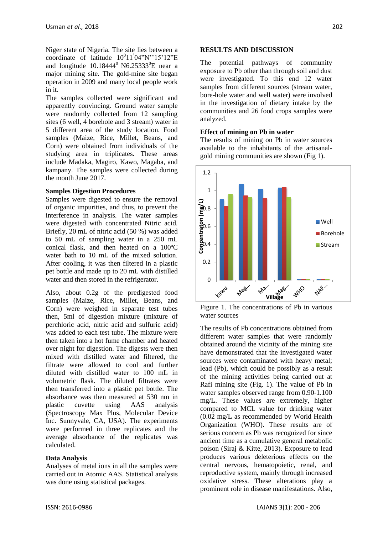Niger state of Nigeria. The site lies between a coordinate of latitude  $10^011^004$ "N'' $15'12$ "E and longitude  $10.18444^{\circ}$  N6.25333<sup>o</sup>E near a major mining site. The gold-mine site began operation in 2009 and many local people work in it.

The samples collected were significant and apparently convincing. Ground water sample were randomly collected from 12 sampling sites (6 well, 4 borehole and 3 stream) water in 5 different area of the study location. Food samples (Maize, Rice, Millet, Beans, and Corn) were obtained from individuals of the studying area in triplicates. These areas include Madaka, Magiro, Kawo, Magaba, and kampany. The samples were collected during the month June 2017.

#### **Samples Digestion Procedures**

Samples were digested to ensure the removal of organic impurities, and thus, to prevent the interference in analysis. The water samples were digested with concentrated Nitric acid. Briefly, 20 mL of nitric acid (50 %) was added to 50 mL of sampling water in a 250 mL conical flask, and then heated on a 100ºC water bath to 10 mL of the mixed solution. After cooling, it was then filtered in a plastic pet bottle and made up to 20 mL with distilled water and then stored in the refrigerator.

Also, about 0.2g of the predigested food samples (Maize, Rice, Millet, Beans, and Corn) were weighed in separate test tubes then, 5ml of digestion mixture (mixture of perchloric acid, nitric acid and sulfuric acid) was added to each test tube. The mixture were then taken into a hot fume chamber and heated over night for digestion. The digests were then mixed with distilled water and filtered, the filtrate were allowed to cool and further diluted with distilled water to 100 mL in volumetric flask. The diluted filtrates were then transferred into a plastic pet bottle. The absorbance was then measured at 530 nm in plastic cuvette using AAS analysis (Spectroscopy Max Plus, Molecular Device Inc. Sunnyvale, CA, USA). The experiments were performed in three replicates and the average absorbance of the replicates was calculated.

#### **Data Analysis**

Analyses of metal ions in all the samples were carried out in Atomic AAS. Statistical analysis was done using statistical packages.

#### **RESULTS AND DISCUSSION**

The potential pathways of community exposure to Pb other than through soil and dust were investigated. To this end 12 water samples from different sources (stream water, bore-hole water and well water) were involved in the investigation of dietary intake by the communities and 26 food crops samples were analyzed.

#### **Effect of mining on Pb in water**

The results of mining on Pb in water sources available to the inhabitants of the artisanalgold mining communities are shown (Fig 1).



Figure 1. The concentrations of Pb in various water sources

The results of Pb concentrations obtained from different water samples that were randomly obtained around the vicinity of the mining site have demonstrated that the investigated water sources were contaminated with heavy metal; lead (Pb), which could be possibly as a result of the mining activities being carried out at Rafi mining site (Fig. 1). The value of Pb in water samples observed range from 0.90-1.100 mg/L. These values are extremely, higher compared to MCL value for drinking water (0.02 mg/L as recommended by World Health Organization (WHO). These results are of serious concern as Pb was recognized for since ancient time as a cumulative general metabolic poison (Siraj & Kitte, 2013). Exposure to lead produces various deleterious effects on the central nervous, hematopoietic, renal, and reproductive system, mainly through increased oxidative stress. These alterations play a prominent role in disease manifestations. Also,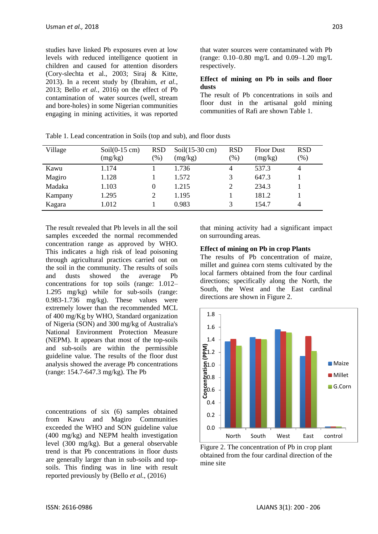studies have linked Pb exposures even at low levels with reduced intelligence quotient in children and caused for attention disorders (Cory-slechta et al., 2003; Siraj & Kitte, 2013). In a recent study by (Ibrahim, *et al.*, 2013; Bello *et al.*, 2016) on the effect of Pb contamination of water sources (well, stream and bore-holes) in some Nigerian communities engaging in mining activities, it was reported that water sources were contaminated with Pb (range: 0.10–0.80 mg/L and 0.09–1.20 mg/L respectively.

### **Effect of mining on Pb in soils and floor dusts**

The result of Pb concentrations in soils and floor dust in the artisanal gold mining communities of Rafi are shown Table 1.

| Village | $Soil(0-15 \text{ cm})$ | <b>RSD</b> | $Soil(15-30 \text{ cm})$ | <b>RSD</b> | <b>Floor Dust</b> | <b>RSD</b> |
|---------|-------------------------|------------|--------------------------|------------|-------------------|------------|
|         | (mg/kg)                 | $(\%)$     | (mg/kg)                  | (% )       | (mg/kg)           | (% )       |
| Kawu    | 1.174                   |            | 1.736                    | 4          | 537.3             | 4          |
| Magiro  | 1.128                   |            | 1.572                    | 3          | 647.3             |            |
| Madaka  | 1.103                   | 0          | 1.215                    | 2          | 234.3             |            |
| Kampany | 1.295                   | 2          | 1.195                    |            | 181.2             |            |
| Kagara  | 1.012                   |            | 0.983                    | 3          | 154.7             | 4          |

Table 1. Lead concentration in Soils (top and sub), and floor dusts

The result revealed that Pb levels in all the soil samples exceeded the normal recommended concentration range as approved by WHO. This indicates a high risk of lead poisoning through agricultural practices carried out on the soil in the community. The results of soils and dusts showed the average Pb concentrations for top soils (range: 1.012– 1.295 mg/kg) while for sub-soils (range: 0.983-1.736 mg/kg). These values were extremely lower than the recommended MCL of 400 mg/Kg by WHO, Standard organization of Nigeria (SON) and 300 mg/kg of Australia's National Environment Protection Measure (NEPM). It appears that most of the top-soils and sub-soils are within the permissible guideline value. The results of the floor dust analysis showed the average Pb concentrations (range: 154.7-647.3 mg/kg). The Pb

concentrations of six (6) samples obtained from Kawu and Magiro Communities exceeded the WHO and SON guideline value (400 mg/kg) and NEPM health investigation level (300 mg/kg). But a general observable trend is that Pb concentrations in floor dusts are generally larger than in sub-soils and topsoils. This finding was in line with result reported previously by (Bello *et al.*, (2016)

that mining activity had a significant impact on surrounding areas.

#### **Effect of mining on Pb in crop Plants**

The results of Pb concentration of maize, millet and guinea corn stems cultivated by the local farmers obtained from the four cardinal directions; specifically along the North, the South, the West and the East cardinal directions are shown in Figure 2.



Figure 2. The concentration of Pb in crop plant obtained from the four cardinal direction of the mine site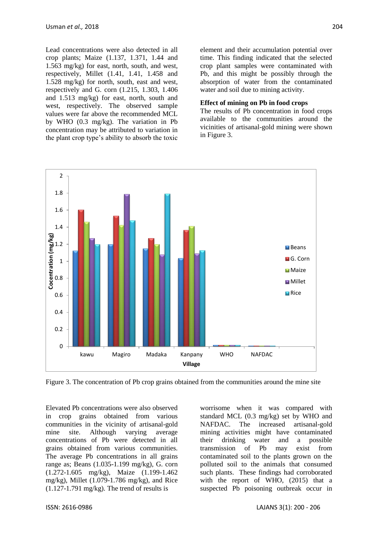Lead concentrations were also detected in all crop plants; Maize (1.137, 1.371, 1.44 and 1.563 mg/kg) for east, north, south, and west, respectively, Millet (1.41, 1.41, 1.458 and 1.528 mg/kg) for north, south, east and west, respectively and G. corn (1.215, 1.303, 1.406 and 1.513 mg/kg) for east, north, south and west, respectively. The observed sample values were far above the recommended MCL by WHO (0.3 mg/kg). The variation in Pb concentration may be attributed to variation in the plant crop type's ability to absorb the toxic

element and their accumulation potential over time. This finding indicated that the selected crop plant samples were contaminated with Pb, and this might be possibly through the absorption of water from the contaminated water and soil due to mining activity.

#### **Effect of mining on Pb in food crops**

The results of Pb concentration in food crops available to the communities around the vicinities of artisanal-gold mining were shown in Figure 3.



Figure 3. The concentration of Pb crop grains obtained from the communities around the mine site

Elevated Pb concentrations were also observed in crop grains obtained from various communities in the vicinity of artisanal-gold mine site. Although varying average concentrations of Pb were detected in all grains obtained from various communities. The average Pb concentrations in all grains range as; Beans (1.035-1.199 mg/kg), G. corn (1.272-1.605 mg/kg), Maize (1.199-1.462 mg/kg), Millet (1.079-1.786 mg/kg), and Rice (1.127-1.791 mg/kg). The trend of results is

worrisome when it was compared with standard MCL (0.3 mg/kg) set by WHO and NAFDAC. The increased artisanal-gold mining activities might have contaminated their drinking water and a possible transmission of Pb may exist from contaminated soil to the plants grown on the polluted soil to the animals that consumed such plants. These findings had corroborated with the report of WHO, (2015) that a suspected Pb poisoning outbreak occur in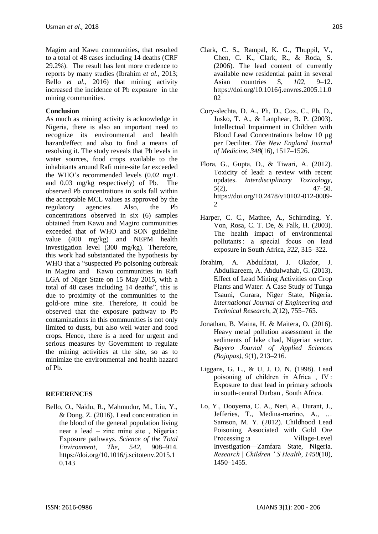Magiro and Kawu communities, that resulted to a total of 48 cases including 14 deaths (CRF 29.2%). The result has lent more credence to reports by many studies (Ibrahim *et al.,* 2013; Bello *et al.*, 2016) that mining activity increased the incidence of Pb exposure in the mining communities.

### **Conclusion**

As much as mining activity is acknowledge in Nigeria, there is also an important need to recognize its environmental and health hazard/effect and also to find a means of resolving it. The study reveals that Pb levels in water sources, food crops available to the inhabitants around Rafi mine-site far exceeded the WHO's recommended levels (0.02 mg/L and 0.03 mg/kg respectively) of Pb. The observed Pb concentrations in soils fall within the acceptable MCL values as approved by the regulatory agencies. Also, the Pb concentrations observed in six (6) samples obtained from Kawu and Magiro communities exceeded that of WHO and SON guideline value (400 mg/kg) and NEPM health investigation level (300 mg/kg). Therefore, this work had substantiated the hypothesis by WHO that a "suspected Pb poisoning outbreak in Magiro and Kawu communities in Rafi LGA of Niger State on 15 May 2015, with a total of  $48$  cases including  $14$  deaths", this is due to proximity of the communities to the gold-ore mine site. Therefore, it could be observed that the exposure pathway to Pb contaminations in this communities is not only limited to dusts, but also well water and food crops. Hence, there is a need for urgent and serious measures by Government to regulate the mining activities at the site, so as to minimize the environmental and health hazard of Pb.

## **REFERENCES**

Bello, O., Naidu, R., Mahmudur, M., Liu, Y., & Dong, Z. (2016). Lead concentration in the blood of the general population living near a lead – zinc mine site , Nigeria : Exposure pathways. *Science of the Total Environment, The*, *542*, 908–914. https://doi.org/10.1016/j.scitotenv.2015.1 0.143

- Cory-slechta, D. A., Ph, D., Cox, C., Ph, D., Jusko, T. A., & Lanphear, B. P. (2003). Intellectual Impairment in Children with Blood Lead Concentrations below 10 µg per Deciliter. *The New England Journal of Medicine*, *348*(16), 1517–1526.
- Flora, G., Gupta, D., & Tiwari, A. (2012). Toxicity of lead: a review with recent updates. *Interdisciplinary Toxicology*, *5*(2), 47–58. https://doi.org/10.2478/v10102-012-0009-  $\mathcal{D}$
- Harper, C. C., Mathee, A., Schirnding, Y. Von, Rosa, C. T. De, & Falk, H. (2003). The health impact of environmental pollutants : a special focus on lead exposure in South Africa, *322*, 315–322.
- Ibrahim, A. Abdulfatai, J. Okafor, J. Abdulkareem, A. Abdulwahab, G. (2013). Effect of Lead Mining Activities on Crop Plants and Water: A Case Study of Tunga Tsauni, Gurara, Niger State, Nigeria. *International Journal of Engineering and Technical Research*, *2*(12), 755–765.
- Jonathan, B. Maina, H. & Maitera, O. (2016). Heavy metal pollution assessment in the sediments of lake chad, Nigerian sector. *Bayero Journal of Applied Sciences (Bajopas)*, *9*(1), 213–216.
- Liggans, G. L., & U, J. O. N. (1998). Lead poisoning of children in Africa , IV : Exposure to dust lead in primary schools in south-central Durban , South Africa.
- Lo, Y., Dooyema, C. A., Neri, A., Durant, J., Jefferies, T., Medina-marino, A., … Samson, M. Y. (2012). Childhood Lead Poisoning Associated with Gold Ore Processing :a Village-Level Investigation—Zamfara State, Nigeria. *Research | Children ' S Health*, *1450*(10), 1450–1455.